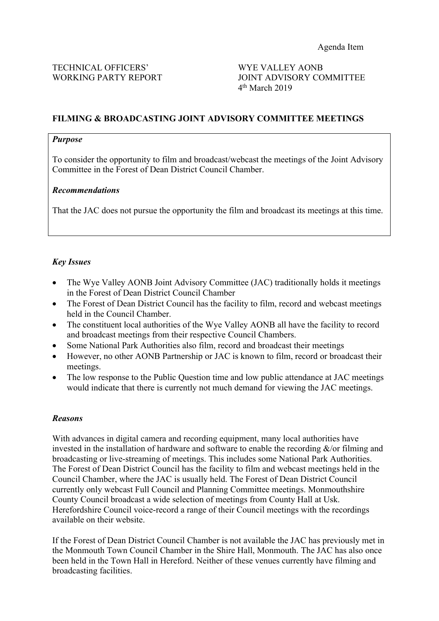WORKING PARTY REPORT JOINT ADVISORY COMMITTEE 4 th March 2019

# **FILMING & BROADCASTING JOINT ADVISORY COMMITTEE MEETINGS**

#### *Purpose*

To consider the opportunity to film and broadcast/webcast the meetings of the Joint Advisory Committee in the Forest of Dean District Council Chamber.

### *Recommendations*

That the JAC does not pursue the opportunity the film and broadcast its meetings at this time.

# *Key Issues*

- The Wye Valley AONB Joint Advisory Committee (JAC) traditionally holds it meetings in the Forest of Dean District Council Chamber
- The Forest of Dean District Council has the facility to film, record and webcast meetings held in the Council Chamber.
- The constituent local authorities of the Wye Valley AONB all have the facility to record and broadcast meetings from their respective Council Chambers.
- Some National Park Authorities also film, record and broadcast their meetings
- However, no other AONB Partnership or JAC is known to film, record or broadcast their meetings.
- The low response to the Public Question time and low public attendance at JAC meetings would indicate that there is currently not much demand for viewing the JAC meetings.

#### *Reasons*

With advances in digital camera and recording equipment, many local authorities have invested in the installation of hardware and software to enable the recording  $\&$ /or filming and broadcasting or live-streaming of meetings. This includes some National Park Authorities. The Forest of Dean District Council has the facility to film and webcast meetings held in the Council Chamber, where the JAC is usually held. The Forest of Dean District Council currently only webcast Full Council and Planning Committee meetings. Monmouthshire County Council broadcast a wide selection of meetings from County Hall at Usk. Herefordshire Council voice-record a range of their Council meetings with the recordings available on their website.

If the Forest of Dean District Council Chamber is not available the JAC has previously met in the Monmouth Town Council Chamber in the Shire Hall, Monmouth. The JAC has also once been held in the Town Hall in Hereford. Neither of these venues currently have filming and broadcasting facilities.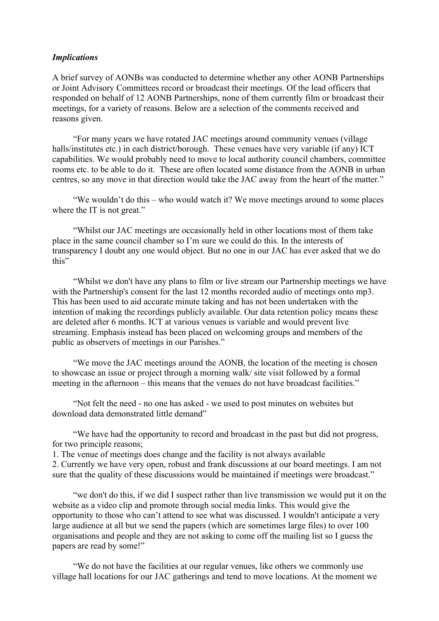#### *Implications*

A brief survey of AONBs was conducted to determine whether any other AONB Partnerships or Joint Advisory Committees record or broadcast their meetings. Of the lead officers that responded on behalf of 12 AONB Partnerships, none of them currently film or broadcast their meetings, for a variety of reasons. Below are a selection of the comments received and reasons given.

"For many years we have rotated JAC meetings around community venues (village halls/institutes etc.) in each district/borough. These venues have very variable (if any) ICT capabilities. We would probably need to move to local authority council chambers, committee rooms etc. to be able to do it. These are often located some distance from the AONB in urban centres, so any move in that direction would take the JAC away from the heart of the matter."

"We wouldn't do this – who would watch it? We move meetings around to some places where the IT is not great."

"Whilst our JAC meetings are occasionally held in other locations most of them take place in the same council chamber so I'm sure we could do this. In the interests of transparency I doubt any one would object. But no one in our JAC has ever asked that we do this"

"Whilst we don't have any plans to film or live stream our Partnership meetings we have with the Partnership's consent for the last 12 months recorded audio of meetings onto mp3. This has been used to aid accurate minute taking and has not been undertaken with the intention of making the recordings publicly available. Our data retention policy means these are deleted after 6 months. ICT at various venues is variable and would prevent live streaming. Emphasis instead has been placed on welcoming groups and members of the public as observers of meetings in our Parishes."

"We move the JAC meetings around the AONB, the location of the meeting is chosen to showcase an issue or project through a morning walk/ site visit followed by a formal meeting in the afternoon – this means that the venues do not have broadcast facilities."

"Not felt the need - no one has asked - we used to post minutes on websites but download data demonstrated little demand"

"We have had the opportunity to record and broadcast in the past but did not progress, for two principle reasons;

1. The venue of meetings does change and the facility is not always available 2. Currently we have very open, robust and frank discussions at our board meetings. I am not sure that the quality of these discussions would be maintained if meetings were broadcast."

"we don't do this, if we did I suspect rather than live transmission we would put it on the website as a video clip and promote through social media links. This would give the opportunity to those who can't attend to see what was discussed. I wouldn't anticipate a very large audience at all but we send the papers (which are sometimes large files) to over 100 organisations and people and they are not asking to come off the mailing list so I guess the papers are read by some!"

"We do not have the facilities at our regular venues, like others we commonly use village hall locations for our JAC gatherings and tend to move locations. At the moment we